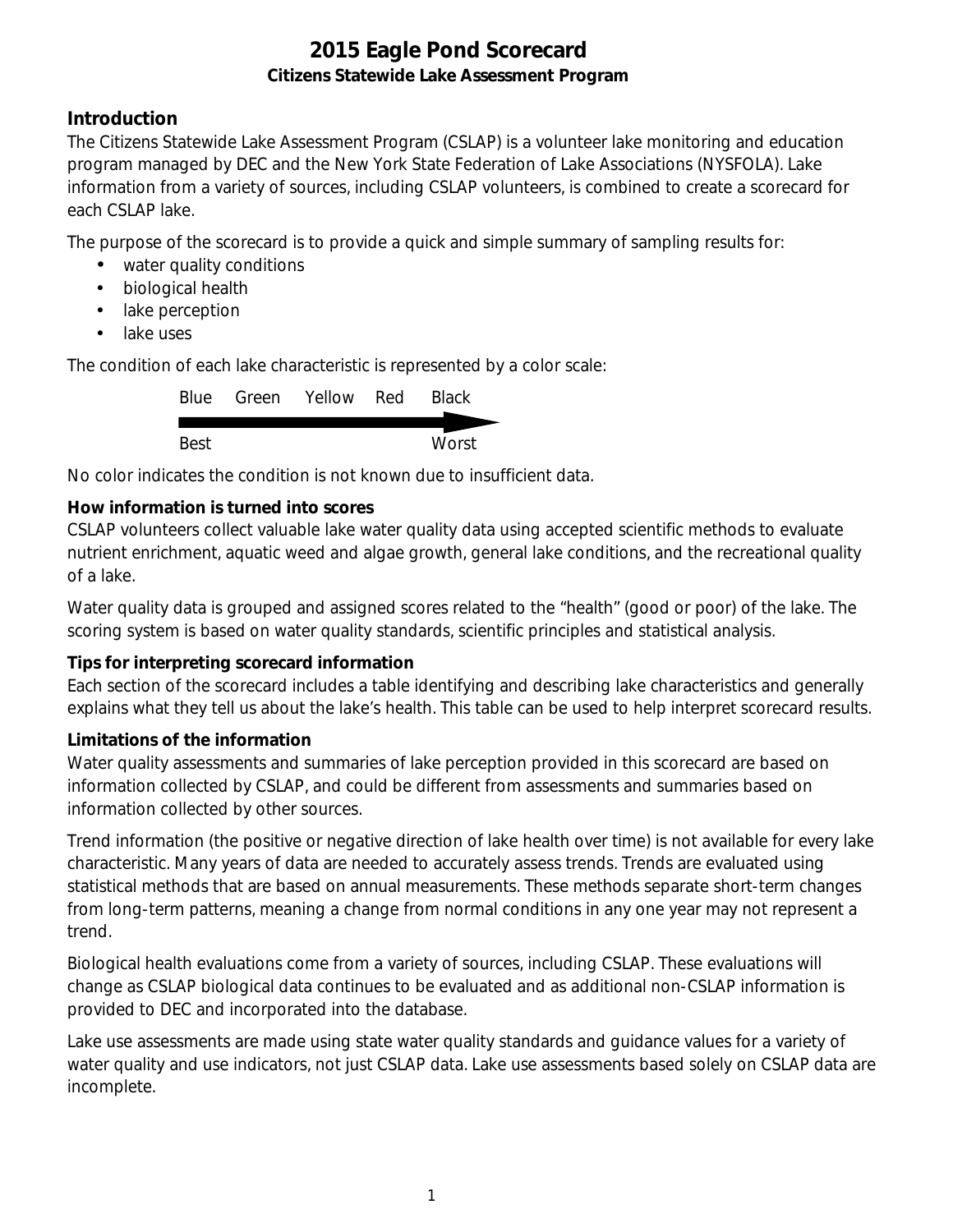### **Introduction**

The Citizens Statewide Lake Assessment Program (CSLAP) is a volunteer lake monitoring and education program managed by DEC and the New York State Federation of Lake Associations (NYSFOLA). Lake information from a variety of sources, including CSLAP volunteers, is combined to create a scorecard for each CSLAP lake.

The purpose of the scorecard is to provide a quick and simple summary of sampling results for:

- water quality conditions
- $\mathcal{L}^{\text{max}}$ biological health
- . lake perception
- L. lake uses

The condition of each lake characteristic is represented by a color scale:

|      | Blue Green Yellow Red | <b>Black</b> |
|------|-----------------------|--------------|
|      |                       |              |
| Best |                       | Worst        |

No color indicates the condition is not known due to insufficient data.

#### **How information is turned into scores**

CSLAP volunteers collect valuable lake water quality data using accepted scientific methods to evaluate nutrient enrichment, aquatic weed and algae growth, general lake conditions, and the recreational quality of a lake.

Water quality data is grouped and assigned scores related to the "health" (good or poor) of the lake. The scoring system is based on water quality standards, scientific principles and statistical analysis.

#### **Tips for interpreting scorecard information**

Each section of the scorecard includes a table identifying and describing lake characteristics and generally explains what they tell us about the lake's health. This table can be used to help interpret scorecard results.

#### **Limitations of the information**

Water quality assessments and summaries of lake perception provided in this scorecard are based on information collected by CSLAP, and could be different from assessments and summaries based on information collected by other sources.

Trend information (the positive or negative direction of lake health over time) is not available for every lake characteristic. Many years of data are needed to accurately assess trends. Trends are evaluated using statistical methods that are based on annual measurements. These methods separate short-term changes from long-term patterns, meaning a change from normal conditions in any one year may not represent a trend.

Biological health evaluations come from a variety of sources, including CSLAP. These evaluations will change as CSLAP biological data continues to be evaluated and as additional non-CSLAP information is provided to DEC and incorporated into the database.

Lake use assessments are made using state water quality standards and guidance values for a variety of water quality and use indicators, not just CSLAP data. Lake use assessments based solely on CSLAP data are incomplete.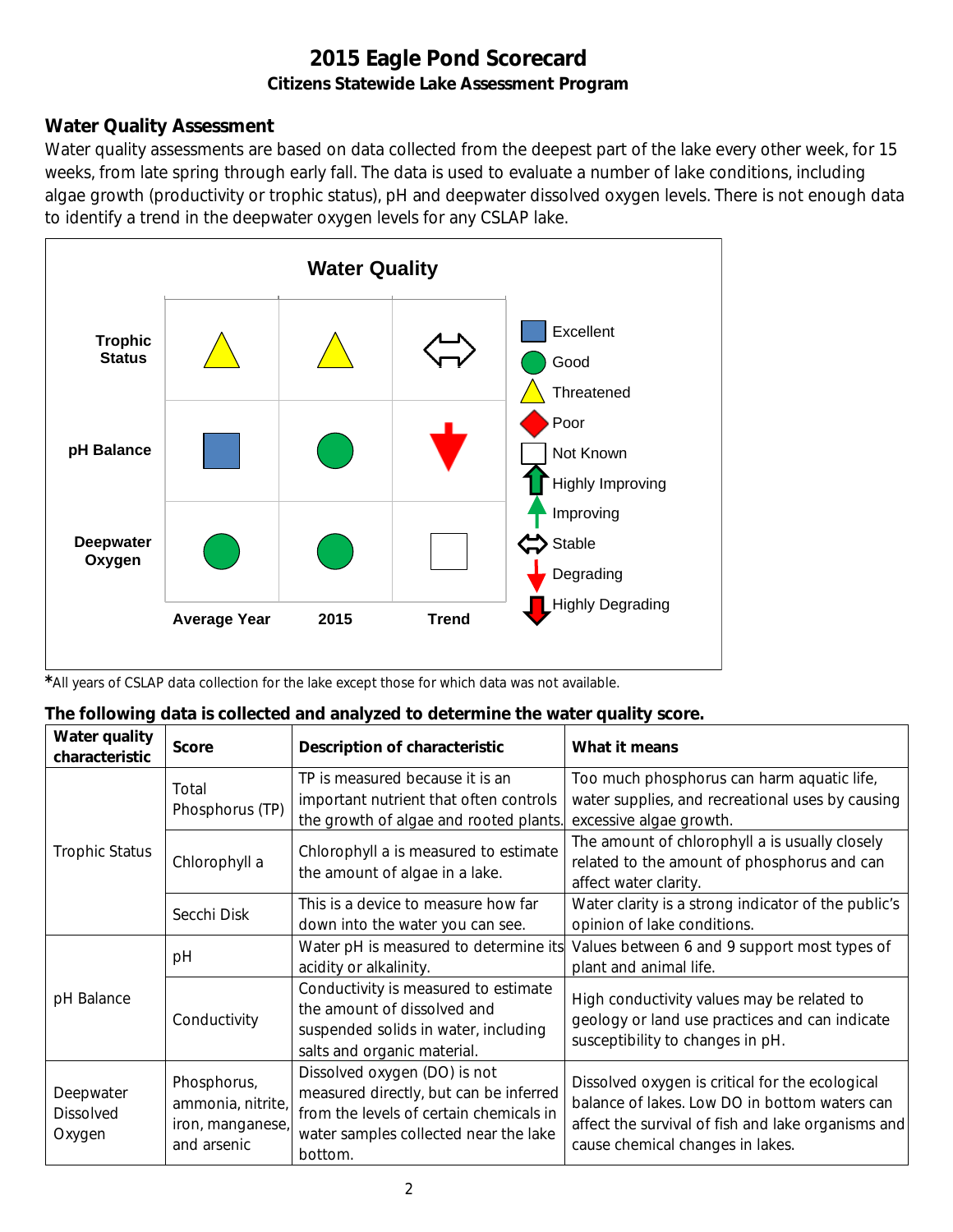### **Water Quality Assessment**

Water quality assessments are based on data collected from the deepest part of the lake every other week, for 15 weeks, from late spring through early fall. The data is used to evaluate a number of lake conditions, including algae growth (productivity or trophic status), pH and deepwater dissolved oxygen levels. There is not enough data to identify a trend in the deepwater oxygen levels for any CSLAP lake.



*\**All years of CSLAP data collection for the lake except those for which data was not available.

| The following data is collected and analyzed to determine the water quality score. |  |  |
|------------------------------------------------------------------------------------|--|--|
|                                                                                    |  |  |

| Water quality<br>characteristic         | <b>Score</b>                                                        | Description of characteristic                                                                                                                                         | What it means                                                                                                                                                                              |
|-----------------------------------------|---------------------------------------------------------------------|-----------------------------------------------------------------------------------------------------------------------------------------------------------------------|--------------------------------------------------------------------------------------------------------------------------------------------------------------------------------------------|
|                                         | Total<br>Phosphorus (TP)                                            | TP is measured because it is an<br>important nutrient that often controls<br>the growth of algae and rooted plants.                                                   | Too much phosphorus can harm aquatic life,<br>water supplies, and recreational uses by causing<br>excessive algae growth.                                                                  |
| <b>Trophic Status</b>                   | Chlorophyll a                                                       | Chlorophyll a is measured to estimate<br>the amount of algae in a lake.                                                                                               | The amount of chlorophyll a is usually closely<br>related to the amount of phosphorus and can<br>affect water clarity.                                                                     |
|                                         | Secchi Disk                                                         | This is a device to measure how far<br>down into the water you can see.                                                                                               | Water clarity is a strong indicator of the public's<br>opinion of lake conditions.                                                                                                         |
|                                         | рH                                                                  | Water pH is measured to determine its<br>acidity or alkalinity.                                                                                                       | Values between 6 and 9 support most types of<br>plant and animal life.                                                                                                                     |
| pH Balance                              | Conductivity                                                        | Conductivity is measured to estimate<br>the amount of dissolved and<br>suspended solids in water, including<br>salts and organic material.                            | High conductivity values may be related to<br>geology or land use practices and can indicate<br>susceptibility to changes in pH.                                                           |
| Deepwater<br><b>Dissolved</b><br>Oxygen | Phosphorus,<br>ammonia, nitrite,<br>iron, manganese,<br>and arsenic | Dissolved oxygen (DO) is not<br>measured directly, but can be inferred<br>from the levels of certain chemicals in<br>water samples collected near the lake<br>bottom. | Dissolved oxygen is critical for the ecological<br>balance of lakes. Low DO in bottom waters can<br>affect the survival of fish and lake organisms and<br>cause chemical changes in lakes. |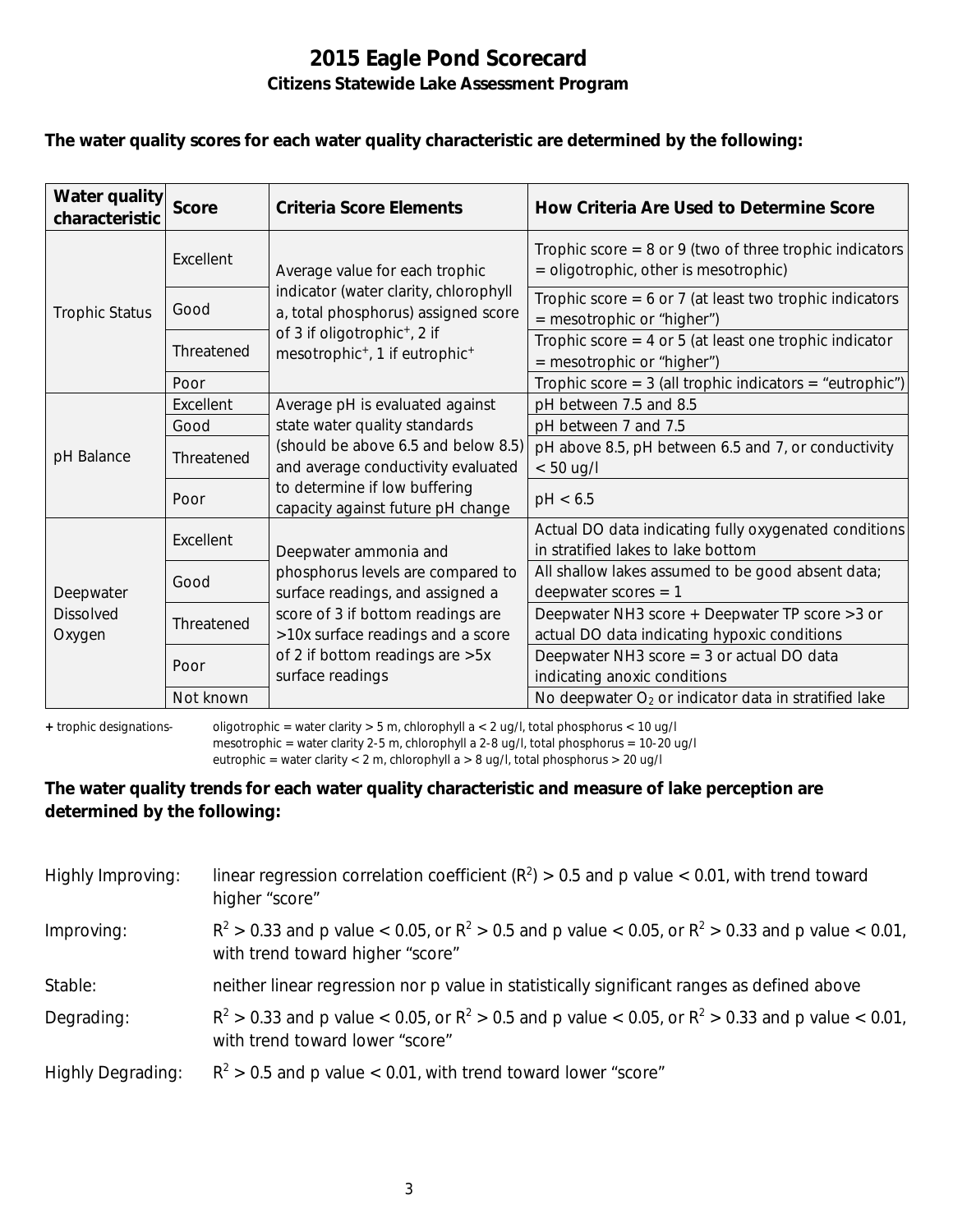#### **The water quality scores for each water quality characteristic are determined by the following:**

| Water quality<br>characteristic         | <b>Score</b> | Criteria Score Elements                                                                            | How Criteria Are Used to Determine Score                                                             |
|-----------------------------------------|--------------|----------------------------------------------------------------------------------------------------|------------------------------------------------------------------------------------------------------|
|                                         | Excellent    | Average value for each trophic                                                                     | Trophic score = $8$ or $9$ (two of three trophic indicators<br>= oligotrophic, other is mesotrophic) |
| <b>Trophic Status</b>                   | Good         | indicator (water clarity, chlorophyll<br>a, total phosphorus) assigned score                       | Trophic score = $6$ or 7 (at least two trophic indicators<br>= mesotrophic or "higher")              |
|                                         | Threatened   | of 3 if oligotrophic <sup>+</sup> , 2 if<br>mesotrophic <sup>+</sup> , 1 if eutrophic <sup>+</sup> | Trophic score $=$ 4 or 5 (at least one trophic indicator<br>= mesotrophic or "higher")               |
|                                         | Poor         |                                                                                                    | Trophic score = $3$ (all trophic indicators = "eutrophic")                                           |
| pH Balance                              | Excellent    | Average pH is evaluated against                                                                    | pH between 7.5 and 8.5                                                                               |
|                                         | Good         | state water quality standards                                                                      | pH between 7 and 7.5                                                                                 |
|                                         | Threatened   | (should be above 6.5 and below 8.5)<br>and average conductivity evaluated                          | pH above 8.5, pH between 6.5 and 7, or conductivity<br>$< 50$ ug/l                                   |
|                                         | Poor         | to determine if low buffering<br>capacity against future pH change                                 | pH < 6.5                                                                                             |
|                                         | Excellent    | Deepwater ammonia and                                                                              | Actual DO data indicating fully oxygenated conditions<br>in stratified lakes to lake bottom          |
| Deepwater<br><b>Dissolved</b><br>Oxygen | Good         | phosphorus levels are compared to<br>surface readings, and assigned a                              | All shallow lakes assumed to be good absent data;<br>deepwater scores $= 1$                          |
|                                         | Threatened   | score of 3 if bottom readings are<br>>10x surface readings and a score                             | Deepwater NH3 score + Deepwater TP score > 3 or<br>actual DO data indicating hypoxic conditions      |
|                                         | Poor         | of 2 if bottom readings are > 5x<br>surface readings                                               | Deepwater NH3 score $=$ 3 or actual DO data<br>indicating anoxic conditions                          |
|                                         | Not known    |                                                                                                    | No deepwater $O_2$ or indicator data in stratified lake                                              |

**+** trophic designations- oligotrophic = water clarity > 5 m, chlorophyll a < 2 ug/l, total phosphorus < 10 ug/l mesotrophic = water clarity 2-5 m, chlorophyll a 2-8 ug/l, total phosphorus = 10-20 ug/l

eutrophic = water clarity < 2 m, chlorophyll a > 8 ug/l, total phosphorus > 20 ug/l

#### **The water quality trends for each water quality characteristic and measure of lake perception are determined by the following:**

| Highly Improving:        | linear regression correlation coefficient ( $R^2$ ) > 0.5 and p value < 0.01, with trend toward<br>higher "score"                           |
|--------------------------|---------------------------------------------------------------------------------------------------------------------------------------------|
| Improving:               | $R^2 > 0.33$ and p value < 0.05, or $R^2 > 0.5$ and p value < 0.05, or $R^2 > 0.33$ and p value < 0.01,<br>with trend toward higher "score" |
| Stable:                  | neither linear regression nor p value in statistically significant ranges as defined above                                                  |
| Degrading:               | $R^2 > 0.33$ and p value < 0.05, or $R^2 > 0.5$ and p value < 0.05, or $R^2 > 0.33$ and p value < 0.01,<br>with trend toward lower "score"  |
| <b>Highly Degrading:</b> | $R^2 > 0.5$ and p value < 0.01, with trend toward lower "score"                                                                             |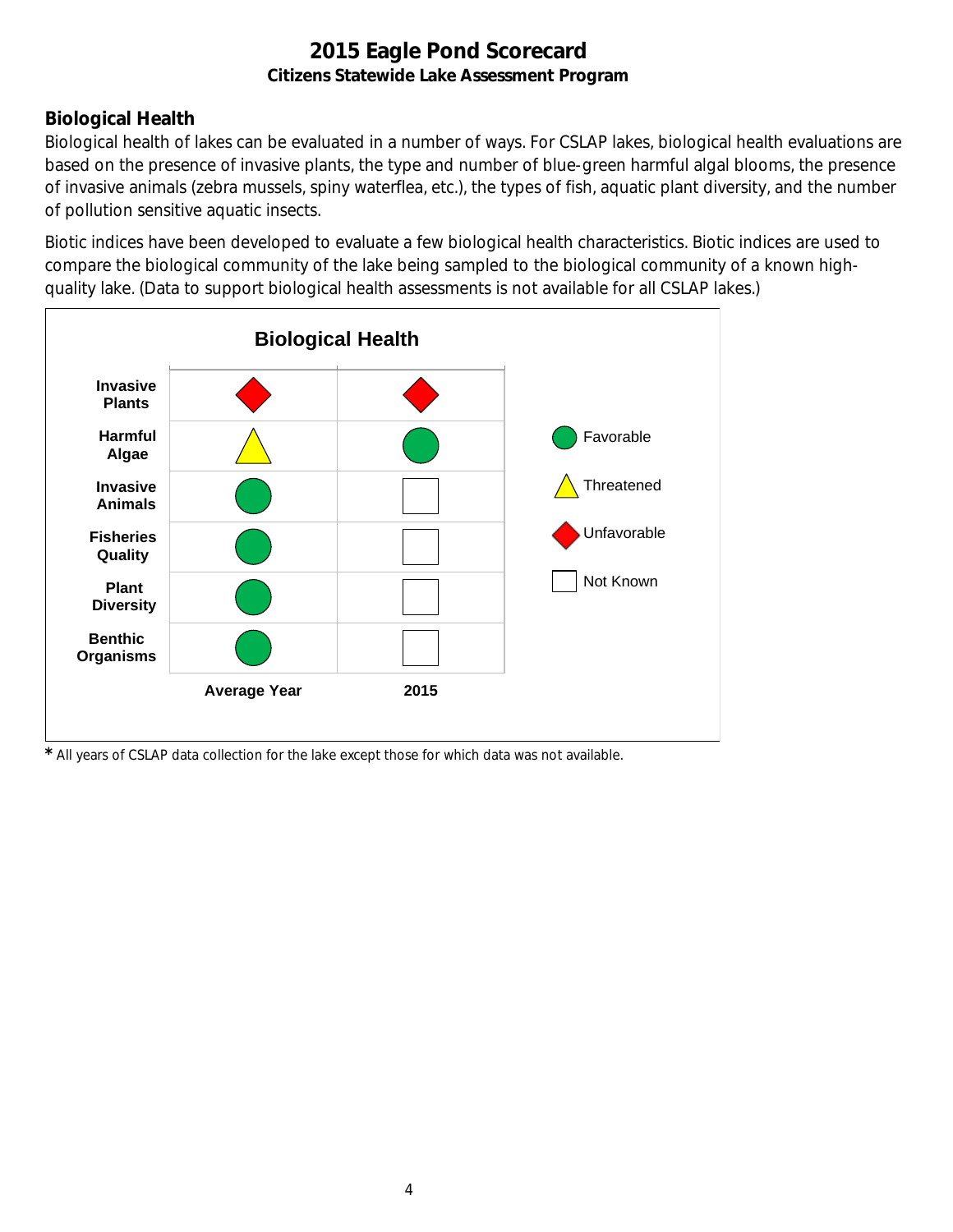# **Biological Health**

Biological health of lakes can be evaluated in a number of ways. For CSLAP lakes, biological health evaluations are based on the presence of invasive plants, the type and number of blue-green harmful algal blooms, the presence of invasive animals (zebra mussels, spiny waterflea, etc.), the types of fish, aquatic plant diversity, and the number of pollution sensitive aquatic insects.

Biotic indices have been developed to evaluate a few biological health characteristics. Biotic indices are used to compare the biological community of the lake being sampled to the biological community of a known highquality lake. (Data to support biological health assessments is not available for all CSLAP lakes.)



*\** All years of CSLAP data collection for the lake except those for which data was not available.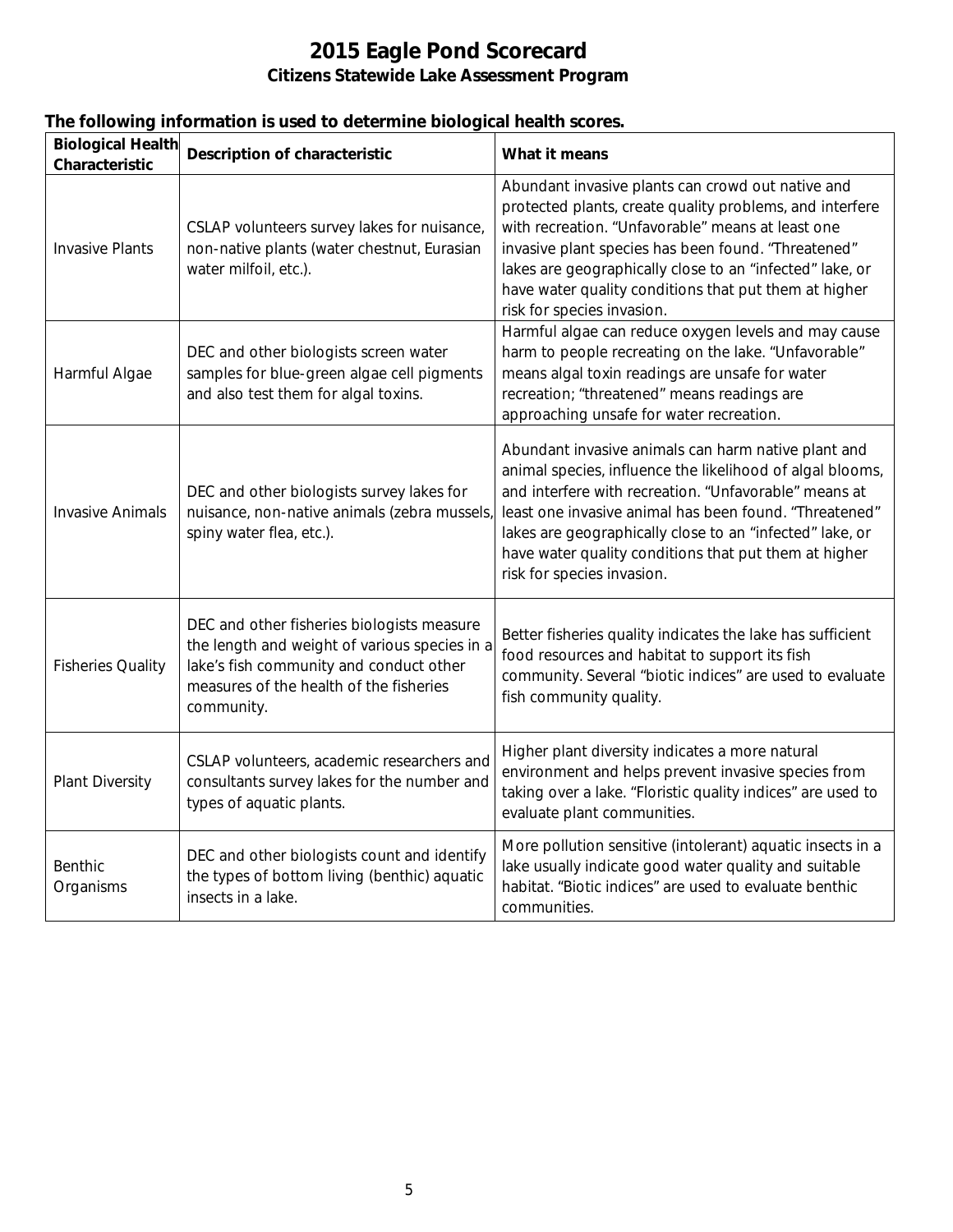| The following information is used to determine biological health scores. |                                                                                                                                                                                                                                                                                            |                                                                                                                                                                                                                                                                                                                                                                                        |  |  |
|--------------------------------------------------------------------------|--------------------------------------------------------------------------------------------------------------------------------------------------------------------------------------------------------------------------------------------------------------------------------------------|----------------------------------------------------------------------------------------------------------------------------------------------------------------------------------------------------------------------------------------------------------------------------------------------------------------------------------------------------------------------------------------|--|--|
| <b>Biological Health</b><br>Characteristic                               | <b>Description of characteristic</b>                                                                                                                                                                                                                                                       | What it means                                                                                                                                                                                                                                                                                                                                                                          |  |  |
| <b>Invasive Plants</b>                                                   | CSLAP volunteers survey lakes for nuisance,<br>non-native plants (water chestnut, Eurasian<br>water milfoil, etc.).                                                                                                                                                                        | Abundant invasive plants can crowd out native and<br>protected plants, create quality problems, and interfere<br>with recreation. "Unfavorable" means at least one<br>invasive plant species has been found. "Threatened"<br>lakes are geographically close to an "infected" lake, or<br>have water quality conditions that put them at higher<br>risk for species invasion.           |  |  |
| Harmful Algae                                                            | DEC and other biologists screen water<br>samples for blue-green algae cell pigments<br>and also test them for algal toxins.                                                                                                                                                                | Harmful algae can reduce oxygen levels and may cause<br>harm to people recreating on the lake. "Unfavorable"<br>means algal toxin readings are unsafe for water<br>recreation; "threatened" means readings are<br>approaching unsafe for water recreation.                                                                                                                             |  |  |
| <b>Invasive Animals</b>                                                  | DEC and other biologists survey lakes for<br>nuisance, non-native animals (zebra mussels,<br>spiny water flea, etc.).                                                                                                                                                                      | Abundant invasive animals can harm native plant and<br>animal species, influence the likelihood of algal blooms,<br>and interfere with recreation. "Unfavorable" means at<br>least one invasive animal has been found. "Threatened"<br>lakes are geographically close to an "infected" lake, or<br>have water quality conditions that put them at higher<br>risk for species invasion. |  |  |
| <b>Fisheries Quality</b>                                                 | DEC and other fisheries biologists measure<br>the length and weight of various species in a<br>lake's fish community and conduct other<br>measures of the health of the fisheries<br>community.                                                                                            | Better fisheries quality indicates the lake has sufficient<br>food resources and habitat to support its fish<br>community. Several "biotic indices" are used to evaluate<br>fish community quality.                                                                                                                                                                                    |  |  |
| <b>Plant Diversity</b>                                                   | CSLAP volunteers, academic researchers and<br>consultants survey lakes for the number and<br>types of aquatic plants.                                                                                                                                                                      | Higher plant diversity indicates a more natural<br>environment and helps prevent invasive species from<br>taking over a lake. "Floristic quality indices" are used to<br>evaluate plant communities.                                                                                                                                                                                   |  |  |
| Benthic                                                                  | DEC and other biologists count and identify<br>$\mathcal{L}$ and $\mathcal{L}$ . It is a set of the state of the set of the field $\mathcal{L}$ is a set of the state of the state of the state of the state of the state of the state of the state of the state of the state of the state | More pollution sensitive (intolerant) aquatic insects in a<br>lake usually indicate good water quality and suitable                                                                                                                                                                                                                                                                    |  |  |

habitat. "Biotic indices" are used to evaluate benthic

communities.

the types of bottom living (benthic) aquatic

insects in a lake.

**Organisms**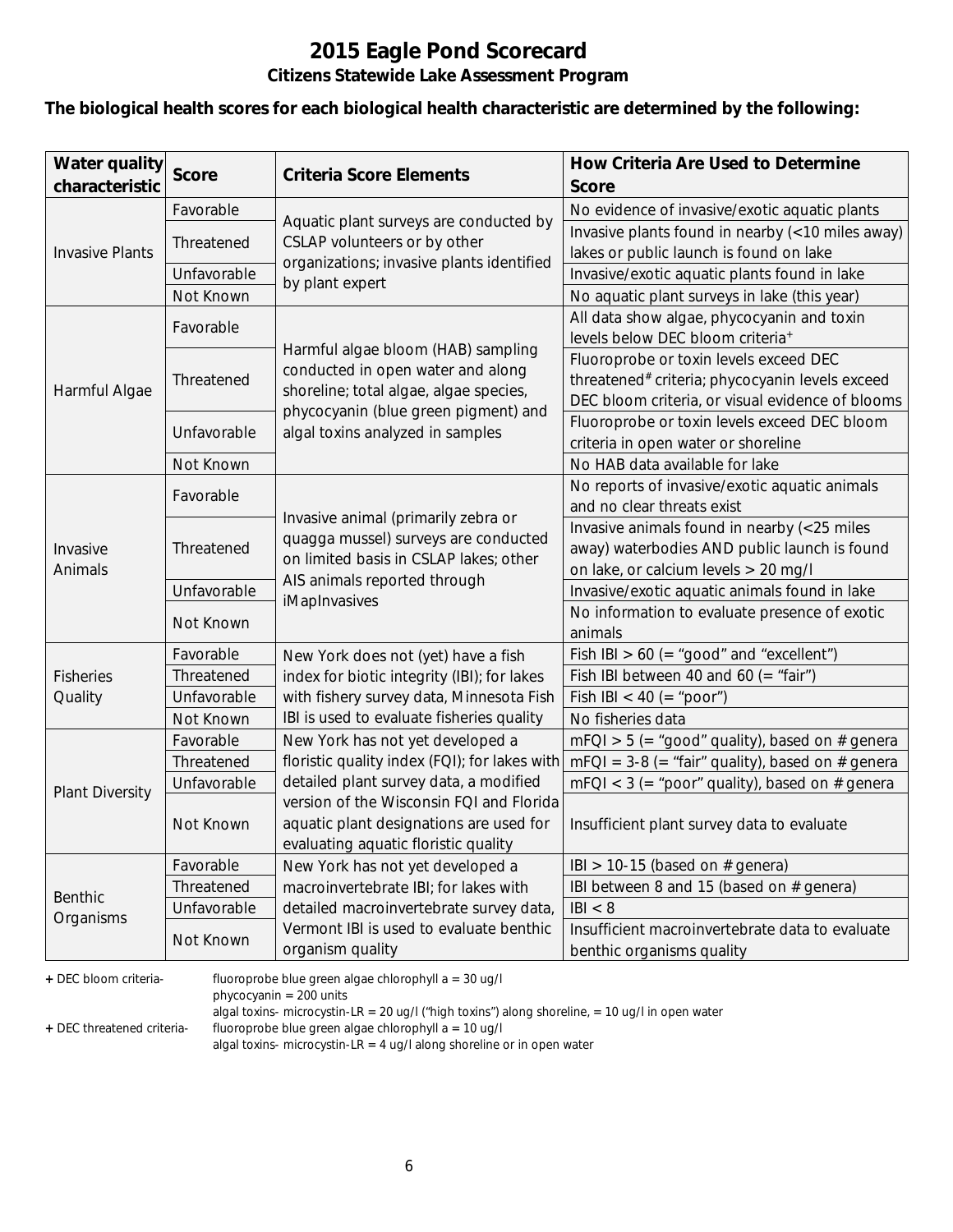# **2015 Eagle Pond Scorecard**

### **Citizens Statewide Lake Assessment Program**

#### **The biological health scores for each biological health characteristic are determined by the following:**

| <b>Water quality</b><br>characteristic | <b>Score</b> | <b>Criteria Score Elements</b>                                                   | How Criteria Are Used to Determine<br><b>Score</b>                           |
|----------------------------------------|--------------|----------------------------------------------------------------------------------|------------------------------------------------------------------------------|
|                                        | Favorable    |                                                                                  | No evidence of invasive/exotic aquatic plants                                |
|                                        |              | Aquatic plant surveys are conducted by                                           | Invasive plants found in nearby (<10 miles away)                             |
| <b>Invasive Plants</b>                 | Threatened   | CSLAP volunteers or by other<br>organizations; invasive plants identified        | lakes or public launch is found on lake                                      |
|                                        | Unfavorable  | by plant expert                                                                  | Invasive/exotic aquatic plants found in lake                                 |
|                                        | Not Known    |                                                                                  | No aquatic plant surveys in lake (this year)                                 |
|                                        | Favorable    |                                                                                  | All data show algae, phycocyanin and toxin                                   |
|                                        |              | Harmful algae bloom (HAB) sampling                                               | levels below DEC bloom criteria <sup>+</sup>                                 |
|                                        |              | conducted in open water and along                                                | Fluoroprobe or toxin levels exceed DEC                                       |
| Harmful Algae                          | Threatened   | shoreline; total algae, algae species,                                           | threatened# criteria; phycocyanin levels exceed                              |
|                                        |              | phycocyanin (blue green pigment) and                                             | DEC bloom criteria, or visual evidence of blooms                             |
|                                        | Unfavorable  | algal toxins analyzed in samples                                                 | Fluoroprobe or toxin levels exceed DEC bloom                                 |
|                                        |              |                                                                                  | criteria in open water or shoreline                                          |
|                                        | Not Known    |                                                                                  | No HAB data available for lake                                               |
|                                        | Favorable    |                                                                                  | No reports of invasive/exotic aquatic animals                                |
|                                        |              | Invasive animal (primarily zebra or                                              | and no clear threats exist                                                   |
|                                        |              | quagga mussel) surveys are conducted                                             | Invasive animals found in nearby (<25 miles                                  |
| Invasive<br>Animals                    | Threatened   | on limited basis in CSLAP lakes; other                                           | away) waterbodies AND public launch is found                                 |
|                                        |              | AIS animals reported through                                                     | on lake, or calcium levels > 20 mg/l                                         |
|                                        | Unfavorable  | iMapInvasives                                                                    | Invasive/exotic aquatic animals found in lake                                |
|                                        | Not Known    |                                                                                  | No information to evaluate presence of exotic                                |
|                                        |              |                                                                                  | animals                                                                      |
|                                        | Favorable    | New York does not (yet) have a fish                                              | Fish IBI $> 60$ (= "good" and "excellent")                                   |
| <b>Fisheries</b>                       | Threatened   | index for biotic integrity (IBI); for lakes                                      | Fish IBI between 40 and 60 (= "fair")                                        |
| Quality                                | Unfavorable  | with fishery survey data, Minnesota Fish                                         | Fish IBI < 40 (= "poor")                                                     |
|                                        | Not Known    | IBI is used to evaluate fisheries quality                                        | No fisheries data                                                            |
|                                        | Favorable    | New York has not yet developed a                                                 | $mFQI > 5$ (= "good" quality), based on # genera                             |
|                                        | Threatened   | floristic quality index $(FQI)$ ; for lakes with                                 | $mFQI = 3-8 (= "fair" quality)$ , based on # genera                          |
| <b>Plant Diversity</b>                 | Unfavorable  | detailed plant survey data, a modified                                           | $mFQI < 3$ (= "poor" quality), based on # genera                             |
|                                        |              | version of the Wisconsin FQI and Florida                                         |                                                                              |
|                                        | Not Known    | aquatic plant designations are used for                                          | Insufficient plant survey data to evaluate                                   |
|                                        | Favorable    | evaluating aquatic floristic quality                                             |                                                                              |
|                                        | Threatened   | New York has not yet developed a                                                 | IBI > 10-15 (based on $#$ genera)                                            |
| <b>Benthic</b>                         | Unfavorable  | macroinvertebrate IBI; for lakes with<br>detailed macroinvertebrate survey data, | IBI between 8 and 15 (based on # genera)<br> B  < 8                          |
| Organisms                              |              | Vermont IBI is used to evaluate benthic                                          |                                                                              |
|                                        | Not Known    | organism quality                                                                 | Insufficient macroinvertebrate data to evaluate<br>benthic organisms quality |

**+** DEC bloom criteria- fluoroprobe blue green algae chlorophyll a = 30 ug/l

phycocyanin = 200 units

algal toxins- microcystin-LR = 20 ug/l ("high toxins") along shoreline, = 10 ug/l in open water

**+** DEC threatened criteria- fluoroprobe blue green algae chlorophyll a = 10 ug/l

algal toxins- microcystin-LR = 4 ug/l along shoreline or in open water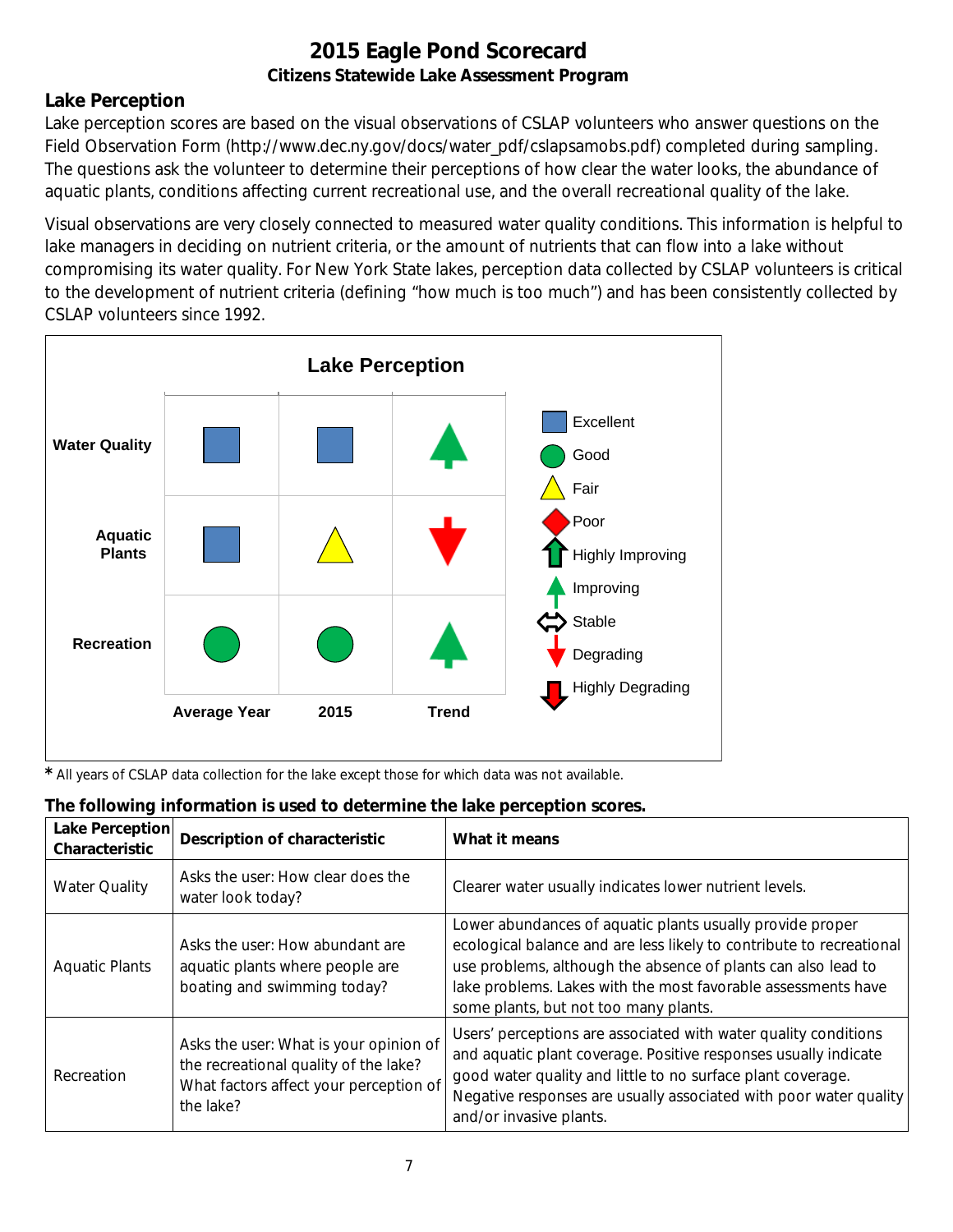### **Lake Perception**

Lake perception scores are based on the visual observations of CSLAP volunteers who answer questions on the Field Observation Form (http://www.dec.ny.gov/docs/water\_pdf/cslapsamobs.pdf) completed during sampling. The questions ask the volunteer to determine their perceptions of how clear the water looks, the abundance of aquatic plants, conditions affecting current recreational use, and the overall recreational quality of the lake.

Visual observations are very closely connected to measured water quality conditions. This information is helpful to lake managers in deciding on nutrient criteria, or the amount of nutrients that can flow into a lake without compromising its water quality. For New York State lakes, perception data collected by CSLAP volunteers is critical to the development of nutrient criteria (defining "how much is too much") and has been consistently collected by CSLAP volunteers since 1992.



*\** All years of CSLAP data collection for the lake except those for which data was not available.

| The following information is used to determine the lake perception scores. |  |  |  |  |  |  |  |
|----------------------------------------------------------------------------|--|--|--|--|--|--|--|
|----------------------------------------------------------------------------|--|--|--|--|--|--|--|

| Lake Perception<br>Characteristic | <b>Description of characteristic</b>                                                                                                   | What it means                                                                                                                                                                                                                                                                                                |
|-----------------------------------|----------------------------------------------------------------------------------------------------------------------------------------|--------------------------------------------------------------------------------------------------------------------------------------------------------------------------------------------------------------------------------------------------------------------------------------------------------------|
| <b>Water Quality</b>              | Asks the user: How clear does the<br>water look today?                                                                                 | Clearer water usually indicates lower nutrient levels.                                                                                                                                                                                                                                                       |
| <b>Aquatic Plants</b>             | Asks the user: How abundant are<br>aquatic plants where people are<br>boating and swimming today?                                      | Lower abundances of aquatic plants usually provide proper<br>ecological balance and are less likely to contribute to recreational<br>use problems, although the absence of plants can also lead to<br>lake problems. Lakes with the most favorable assessments have<br>some plants, but not too many plants. |
| Recreation                        | Asks the user: What is your opinion of<br>the recreational quality of the lake?<br>What factors affect your perception of<br>the lake? | Users' perceptions are associated with water quality conditions<br>and aquatic plant coverage. Positive responses usually indicate<br>good water quality and little to no surface plant coverage.<br>Negative responses are usually associated with poor water quality<br>and/or invasive plants.            |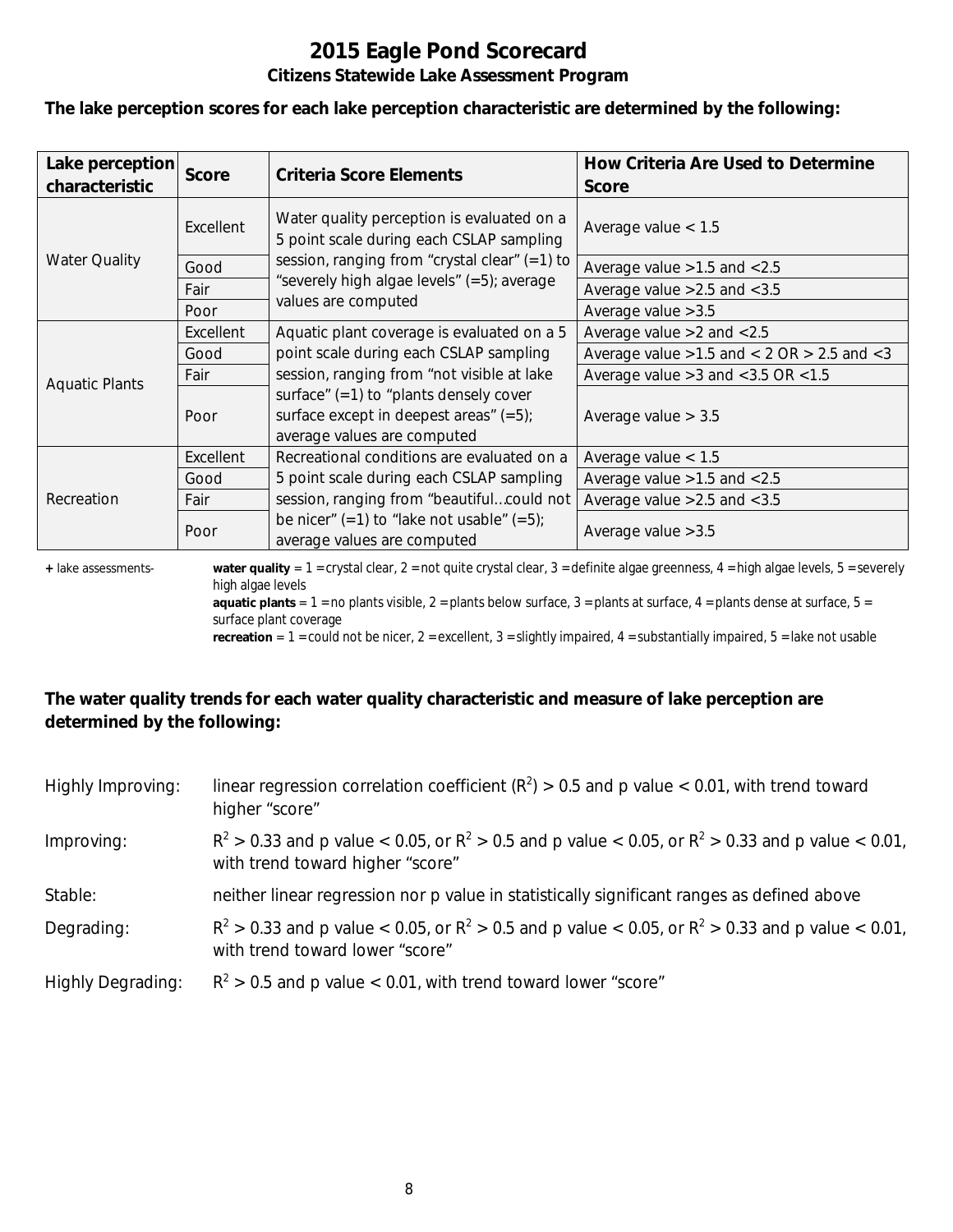#### **The lake perception scores for each lake perception characteristic are determined by the following:**

| Lake perception<br>characteristic | <b>Score</b> | <b>Criteria Score Elements</b>                                                                                       | How Criteria Are Used to Determine<br><b>Score</b>  |  |
|-----------------------------------|--------------|----------------------------------------------------------------------------------------------------------------------|-----------------------------------------------------|--|
|                                   | Excellent    | Water quality perception is evaluated on a<br>5 point scale during each CSLAP sampling                               | Average value $< 1.5$                               |  |
| <b>Water Quality</b>              | Good         | session, ranging from "crystal clear" (=1) to                                                                        | Average value > 1.5 and < 2.5                       |  |
|                                   | Fair         | "severely high algae levels" (=5); average                                                                           | Average value $>2.5$ and $< 3.5$                    |  |
|                                   | Poor         | values are computed                                                                                                  | Average value $>3.5$                                |  |
| <b>Aquatic Plants</b>             | Excellent    | Aquatic plant coverage is evaluated on a 5                                                                           | Average value $>2$ and $< 2.5$                      |  |
|                                   | Good         | point scale during each CSLAP sampling                                                                               | Average value $>1.5$ and $< 2$ OR $> 2.5$ and $< 3$ |  |
|                                   | Fair         | session, ranging from "not visible at lake                                                                           | Average value $>3$ and $<$ 3.5 OR $<$ 1.5           |  |
|                                   | Poor         | surface" $(=1)$ to "plants densely cover<br>surface except in deepest areas" $(=5)$ ;<br>average values are computed | Average value $> 3.5$                               |  |
|                                   | Excellent    | Recreational conditions are evaluated on a                                                                           | Average value $< 1.5$                               |  |
| Recreation                        | Good         | 5 point scale during each CSLAP sampling                                                                             | Average value $>1.5$ and $< 2.5$                    |  |
|                                   | Fair         | session, ranging from "beautifulcould not                                                                            | Average value $>2.5$ and $< 3.5$                    |  |
|                                   | Poor         | be nicer" $(=1)$ to "lake not usable" $(=5)$ ;<br>average values are computed                                        | Average value > 3.5                                 |  |

**+** lake assessments- **water quality** = 1 = crystal clear, 2 = not quite crystal clear, 3 = definite algae greenness, 4 = high algae levels, 5 = severely high algae levels

**aquatic plants** =  $1$  = no plants visible,  $2$  = plants below surface,  $3$  = plants at surface,  $4$  = plants dense at surface,  $5$  = surface plant coverage

**recreation** = 1 = could not be nicer, 2 = excellent, 3 = slightly impaired, 4 = substantially impaired, 5 = lake not usable

#### **The water quality trends for each water quality characteristic and measure of lake perception are determined by the following:**

| Highly Improving:        | linear regression correlation coefficient ( $R^2$ ) > 0.5 and p value < 0.01, with trend toward<br>higher "score"                           |
|--------------------------|---------------------------------------------------------------------------------------------------------------------------------------------|
| Improving:               | $R^2 > 0.33$ and p value < 0.05, or $R^2 > 0.5$ and p value < 0.05, or $R^2 > 0.33$ and p value < 0.01,<br>with trend toward higher "score" |
| Stable:                  | neither linear regression nor p value in statistically significant ranges as defined above                                                  |
| Degrading:               | $R^2 > 0.33$ and p value < 0.05, or $R^2 > 0.5$ and p value < 0.05, or $R^2 > 0.33$ and p value < 0.01,<br>with trend toward lower "score"  |
| <b>Highly Degrading:</b> | $R^2 > 0.5$ and p value < 0.01, with trend toward lower "score"                                                                             |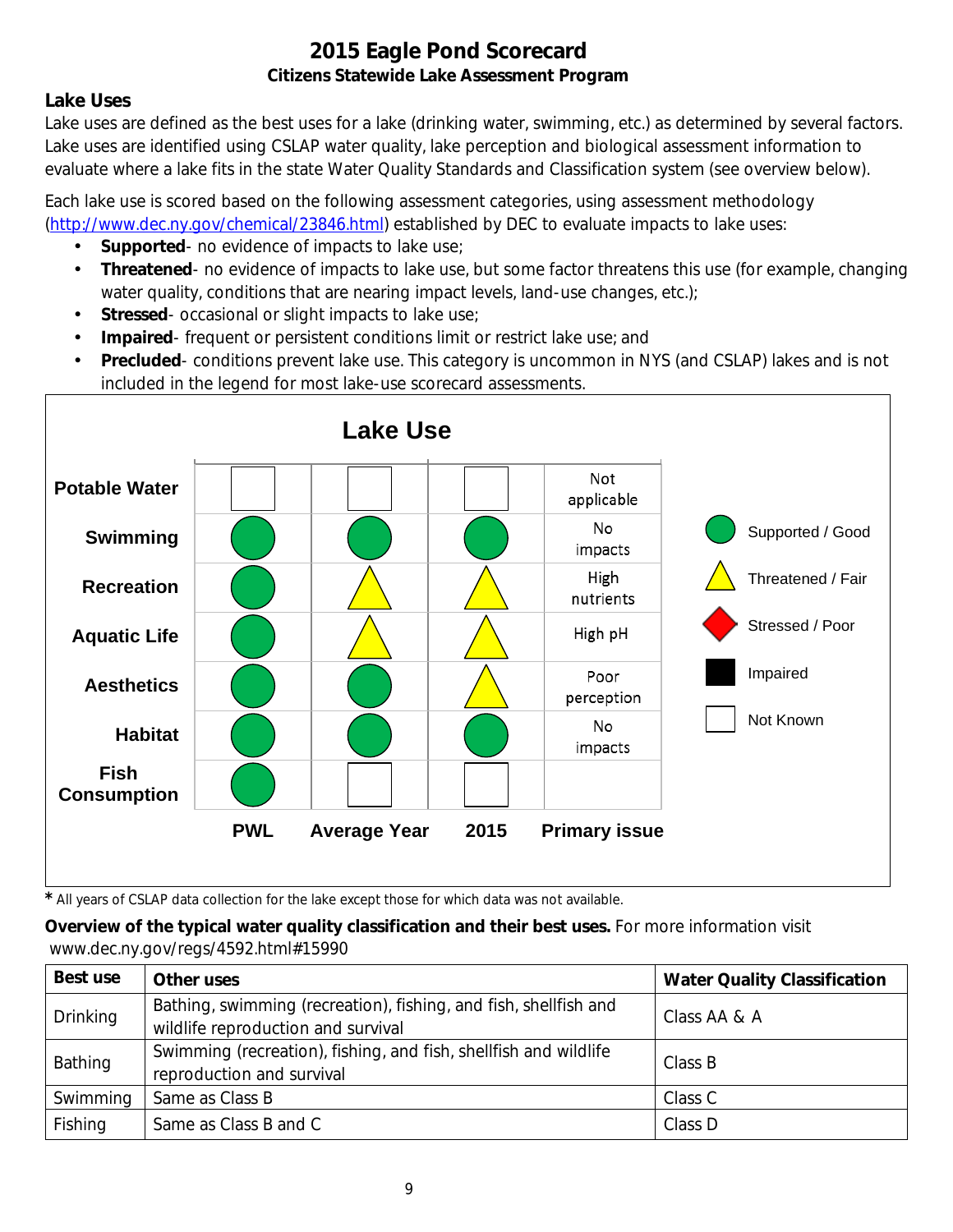### **Lake Uses**

Lake uses are defined as the best uses for a lake (drinking water, swimming, etc.) as determined by several factors. Lake uses are identified using CSLAP water quality, lake perception and biological assessment information to evaluate where a lake fits in the state Water Quality Standards and Classification system (see overview below).

Each lake use is scored based on the following assessment categories, using assessment methodology [\(http://www.dec.ny.gov/chemical/23846.html\)](http://www.dec.ny.gov/chemical/23846.html) established by DEC to evaluate impacts to lake uses:

- **Supported** no evidence of impacts to lake use;
- $\mathcal{L}^{\mathcal{L}}$ **Threatened**- no evidence of impacts to lake use, but some factor threatens this use (for example, changing water quality, conditions that are nearing impact levels, land-use changes, etc.);
- **Stressed** occasional or slight impacts to lake use;  $\mathbf{r}$
- **Impaired** frequent or persistent conditions limit or restrict lake use; and  $\mathbf{r}$
- **Precluded** conditions prevent lake use. This category is uncommon in NYS (and CSLAP) lakes and is not included in the legend for most lake-use scorecard assessments.



*\** All years of CSLAP data collection for the lake except those for which data was not available.

#### **Overview of the typical water quality classification and their best uses.** For more information visit www.dec.ny.gov/regs/4592.html#15990

| Best use        | Other uses                                                                                             | <b>Water Quality Classification</b> |
|-----------------|--------------------------------------------------------------------------------------------------------|-------------------------------------|
| <b>Drinking</b> | Bathing, swimming (recreation), fishing, and fish, shellfish and<br>wildlife reproduction and survival | Class AA & A                        |
| Bathing         | Swimming (recreation), fishing, and fish, shellfish and wildlife<br>reproduction and survival          | Class B                             |
| Swimming        | Same as Class B                                                                                        | Class C                             |
| Fishing         | Same as Class B and C                                                                                  | Class D                             |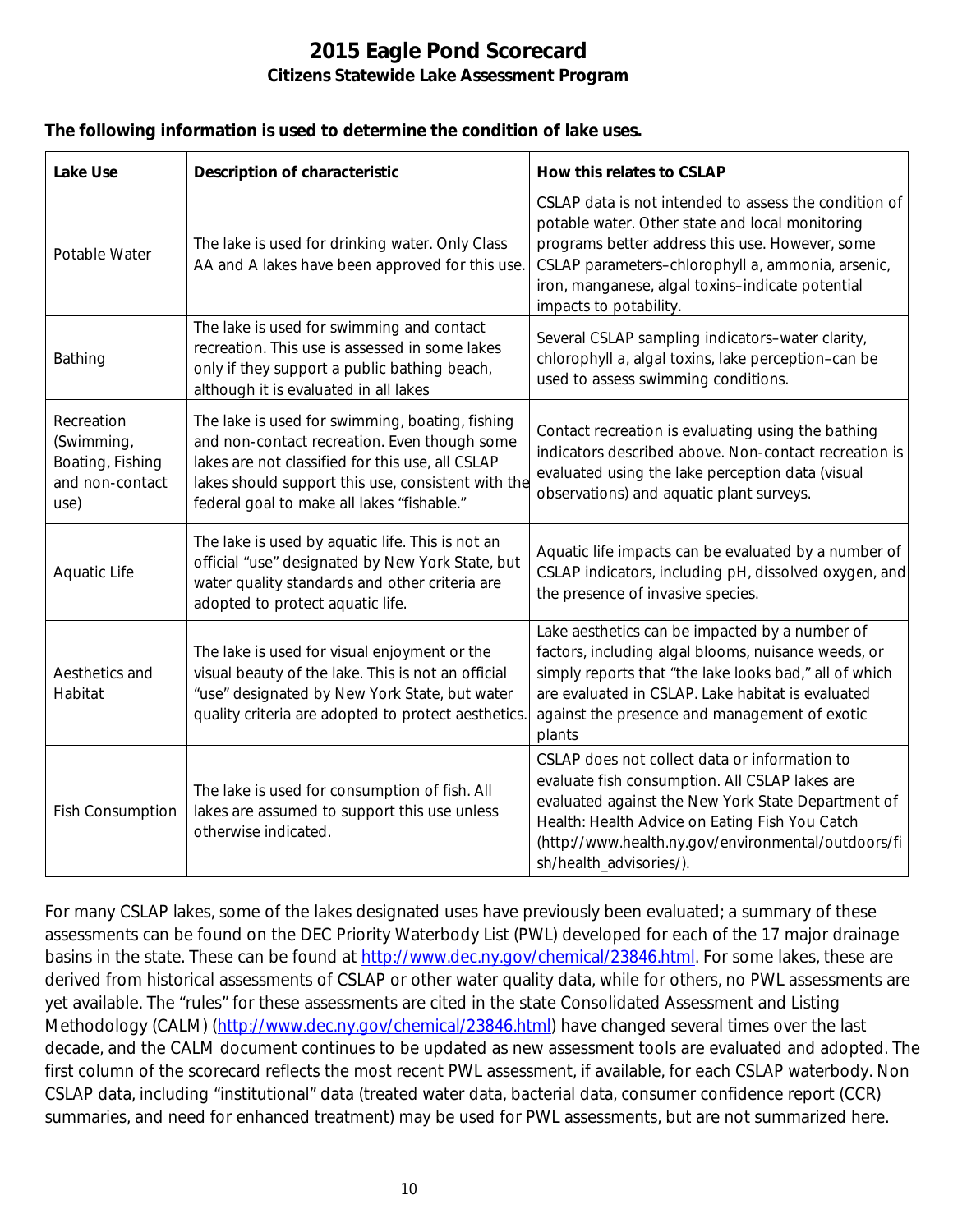#### **The following information is used to determine the condition of lake uses.**

| <b>Lake Use</b>                                                         | <b>Description of characteristic</b>                                                                                                                                                                                                                    | How this relates to CSLAP                                                                                                                                                                                                                                                                      |
|-------------------------------------------------------------------------|---------------------------------------------------------------------------------------------------------------------------------------------------------------------------------------------------------------------------------------------------------|------------------------------------------------------------------------------------------------------------------------------------------------------------------------------------------------------------------------------------------------------------------------------------------------|
| Potable Water                                                           | The lake is used for drinking water. Only Class<br>AA and A lakes have been approved for this use.                                                                                                                                                      | CSLAP data is not intended to assess the condition of<br>potable water. Other state and local monitoring<br>programs better address this use. However, some<br>CSLAP parameters-chlorophyll a, ammonia, arsenic,<br>iron, manganese, algal toxins-indicate potential<br>impacts to potability. |
| Bathing                                                                 | The lake is used for swimming and contact<br>recreation. This use is assessed in some lakes<br>only if they support a public bathing beach,<br>although it is evaluated in all lakes                                                                    | Several CSLAP sampling indicators-water clarity,<br>chlorophyll a, algal toxins, lake perception-can be<br>used to assess swimming conditions.                                                                                                                                                 |
| Recreation<br>(Swimming,<br>Boating, Fishing<br>and non-contact<br>use) | The lake is used for swimming, boating, fishing<br>and non-contact recreation. Even though some<br>lakes are not classified for this use, all CSLAP<br>lakes should support this use, consistent with the<br>federal goal to make all lakes "fishable." | Contact recreation is evaluating using the bathing<br>indicators described above. Non-contact recreation is<br>evaluated using the lake perception data (visual<br>observations) and aquatic plant surveys.                                                                                    |
| Aquatic Life                                                            | The lake is used by aquatic life. This is not an<br>official "use" designated by New York State, but<br>water quality standards and other criteria are<br>adopted to protect aquatic life.                                                              | Aquatic life impacts can be evaluated by a number of<br>CSLAP indicators, including pH, dissolved oxygen, and<br>the presence of invasive species.                                                                                                                                             |
| Aesthetics and<br>Habitat                                               | The lake is used for visual enjoyment or the<br>visual beauty of the lake. This is not an official<br>"use" designated by New York State, but water<br>quality criteria are adopted to protect aesthetics.                                              | Lake aesthetics can be impacted by a number of<br>factors, including algal blooms, nuisance weeds, or<br>simply reports that "the lake looks bad," all of which<br>are evaluated in CSLAP. Lake habitat is evaluated<br>against the presence and management of exotic<br>plants                |
| <b>Fish Consumption</b>                                                 | The lake is used for consumption of fish. All<br>lakes are assumed to support this use unless<br>otherwise indicated.                                                                                                                                   | CSLAP does not collect data or information to<br>evaluate fish consumption. All CSLAP lakes are<br>evaluated against the New York State Department of<br>Health: Health Advice on Eating Fish You Catch<br>(http://www.health.ny.gov/environmental/outdoors/fi<br>sh/health_advisories/).      |

For many CSLAP lakes, some of the lakes designated uses have previously been evaluated; a summary of these assessments can be found on the DEC Priority Waterbody List (PWL) developed for each of the 17 major drainage basins in the state. These can be found at [http://www.dec.ny.gov/chemical/23846.html.](http://www.dec.ny.gov/chemical/23846.html) For some lakes, these are derived from historical assessments of CSLAP or other water quality data, while for others, no PWL assessments are yet available. The "rules" for these assessments are cited in the state Consolidated Assessment and Listing Methodology (CALM) [\(http://www.dec.ny.gov/chemical/23846.html\)](http://www.dec.ny.gov/chemical/23846.html) have changed several times over the last decade, and the CALM document continues to be updated as new assessment tools are evaluated and adopted. The first column of the scorecard reflects the most recent PWL assessment, if available, for each CSLAP waterbody. Non CSLAP data, including "institutional" data (treated water data, bacterial data, consumer confidence report (CCR) summaries, and need for enhanced treatment) may be used for PWL assessments, but are not summarized here.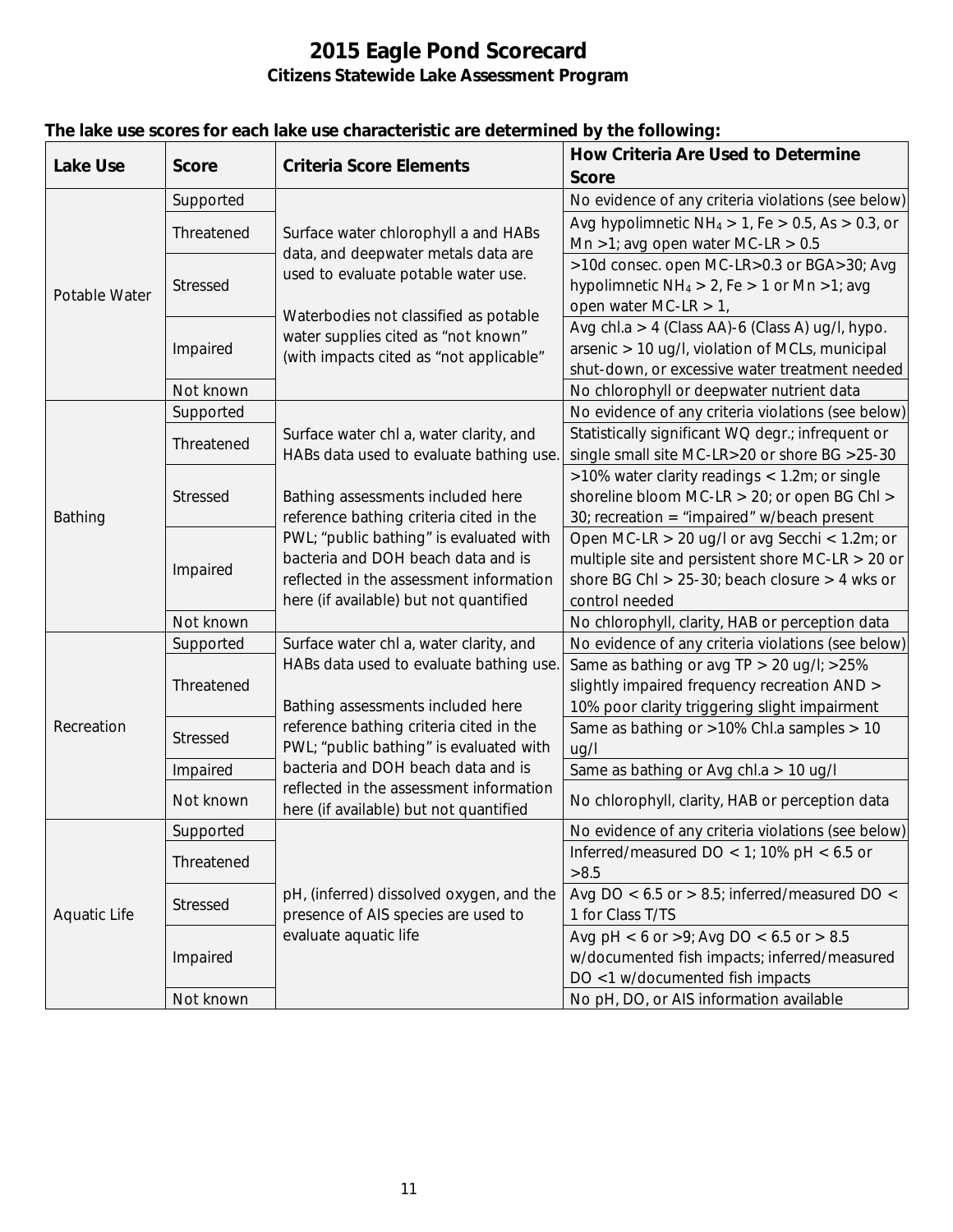| <b>Lake Use</b>     | <b>Score</b>    | <b>Criteria Score Elements</b>                                                                                     | <b>How Criteria Are Used to Determine</b>                  |
|---------------------|-----------------|--------------------------------------------------------------------------------------------------------------------|------------------------------------------------------------|
|                     |                 |                                                                                                                    | <b>Score</b>                                               |
| Potable Water       | Supported       |                                                                                                                    | No evidence of any criteria violations (see below)         |
|                     | Threatened      | Surface water chlorophyll a and HABs<br>data, and deepwater metals data are<br>used to evaluate potable water use. | Avg hypolimnetic $NH_4 > 1$ , Fe $> 0.5$ , As $> 0.3$ , or |
|                     |                 |                                                                                                                    | Mn >1; avg open water MC-LR > $0.5$                        |
|                     | <b>Stressed</b> |                                                                                                                    | >10d consec. open MC-LR>0.3 or BGA>30; Avg                 |
|                     |                 |                                                                                                                    | hypolimnetic $NH_4 > 2$ , Fe > 1 or Mn > 1; avg            |
|                     |                 | Waterbodies not classified as potable                                                                              | open water MC-LR $> 1$ ,                                   |
|                     | Impaired        | water supplies cited as "not known"<br>(with impacts cited as "not applicable"                                     | Avg chl.a > 4 (Class AA)-6 (Class A) ug/l, hypo.           |
|                     |                 |                                                                                                                    | arsenic > 10 ug/l, violation of MCLs, municipal            |
|                     |                 |                                                                                                                    | shut-down, or excessive water treatment needed             |
|                     | Not known       |                                                                                                                    | No chlorophyll or deepwater nutrient data                  |
|                     | Supported       |                                                                                                                    | No evidence of any criteria violations (see below)         |
|                     | Threatened      | Surface water chl a, water clarity, and                                                                            | Statistically significant WQ degr.; infrequent or          |
|                     |                 | HABs data used to evaluate bathing use.                                                                            | single small site MC-LR>20 or shore BG >25-30              |
|                     | Stressed        |                                                                                                                    | >10% water clarity readings < 1.2m; or single              |
|                     |                 | Bathing assessments included here                                                                                  | shoreline bloom MC-LR > 20; or open BG Chl >               |
| Bathing             |                 | reference bathing criteria cited in the                                                                            | 30; recreation = "impaired" w/beach present                |
|                     | Impaired        | PWL; "public bathing" is evaluated with                                                                            | Open MC-LR > 20 ug/l or avg Secchi < 1.2m; or              |
|                     |                 | bacteria and DOH beach data and is                                                                                 | multiple site and persistent shore MC-LR $>$ 20 or         |
|                     |                 | reflected in the assessment information                                                                            | shore BG Chl > $25-30$ ; beach closure > 4 wks or          |
|                     |                 | here (if available) but not quantified                                                                             | control needed                                             |
|                     | Not known       |                                                                                                                    | No chlorophyll, clarity, HAB or perception data            |
|                     | Supported       | Surface water chl a, water clarity, and                                                                            | No evidence of any criteria violations (see below)         |
|                     | Threatened      | HABs data used to evaluate bathing use.                                                                            | Same as bathing or avg TP > 20 ug/l; >25%                  |
|                     |                 |                                                                                                                    | slightly impaired frequency recreation AND >               |
| Recreation          |                 | Bathing assessments included here                                                                                  | 10% poor clarity triggering slight impairment              |
|                     | <b>Stressed</b> | reference bathing criteria cited in the                                                                            | Same as bathing or >10% Chl.a samples > 10                 |
|                     |                 | PWL; "public bathing" is evaluated with                                                                            | ug/l                                                       |
|                     | Impaired        | bacteria and DOH beach data and is                                                                                 | Same as bathing or Avg chl.a > 10 ug/l                     |
|                     | Not known       | reflected in the assessment information<br>here (if available) but not quantified                                  | No chlorophyll, clarity, HAB or perception data            |
|                     | Supported       |                                                                                                                    | No evidence of any criteria violations (see below)         |
|                     |                 |                                                                                                                    | Inferred/measured DO < 1; 10% pH < $6.5$ or                |
| <b>Aquatic Life</b> | Threatened      |                                                                                                                    | >8.5                                                       |
|                     | Stressed        | pH, (inferred) dissolved oxygen, and the                                                                           | Avg DO < $6.5$ or > $8.5$ ; inferred/measured DO <         |
|                     |                 | presence of AIS species are used to                                                                                | 1 for Class T/TS                                           |
|                     | Impaired        | evaluate aquatic life                                                                                              | Avg pH < 6 or >9; Avg DO < $6.5$ or > 8.5                  |
|                     |                 |                                                                                                                    | w/documented fish impacts; inferred/measured               |
|                     |                 |                                                                                                                    | DO <1 w/documented fish impacts                            |
|                     | Not known       |                                                                                                                    | No pH, DO, or AIS information available                    |

# **The lake use scores for each lake use characteristic are determined by the following:**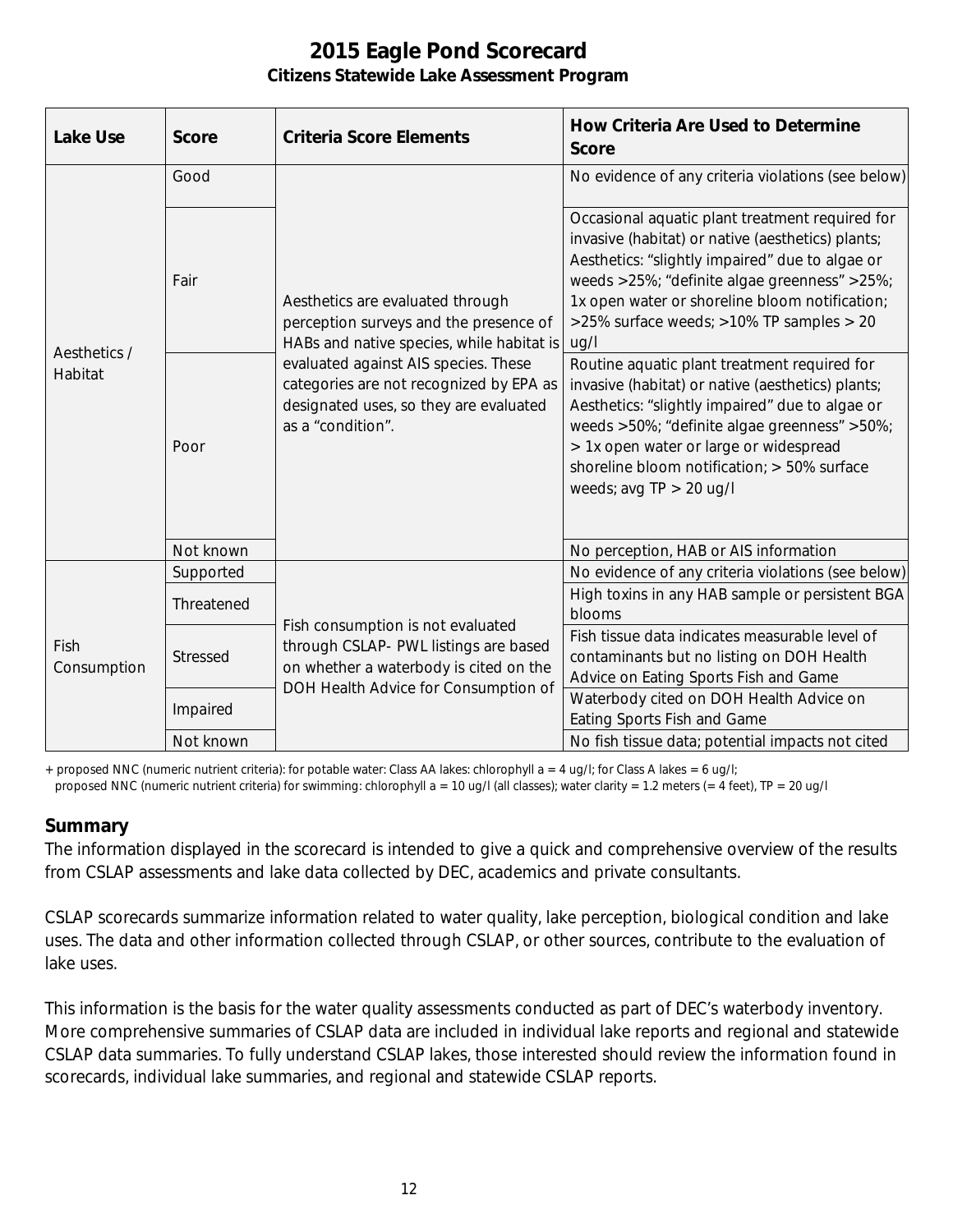| <b>Lake Use</b>         | <b>Score</b> | <b>Criteria Score Elements</b>                                                                                                                                                                                                                                            | <b>How Criteria Are Used to Determine</b><br><b>Score</b>                                                                                                                                                                                                                                                                  |
|-------------------------|--------------|---------------------------------------------------------------------------------------------------------------------------------------------------------------------------------------------------------------------------------------------------------------------------|----------------------------------------------------------------------------------------------------------------------------------------------------------------------------------------------------------------------------------------------------------------------------------------------------------------------------|
| Aesthetics /<br>Habitat | Good         | Aesthetics are evaluated through<br>perception surveys and the presence of<br>HABs and native species, while habitat is<br>evaluated against AIS species. These<br>categories are not recognized by EPA as<br>designated uses, so they are evaluated<br>as a "condition". | No evidence of any criteria violations (see below)                                                                                                                                                                                                                                                                         |
|                         | Fair         |                                                                                                                                                                                                                                                                           | Occasional aquatic plant treatment required for<br>invasive (habitat) or native (aesthetics) plants;<br>Aesthetics: "slightly impaired" due to algae or<br>weeds >25%; "definite algae greenness" >25%;<br>1x open water or shoreline bloom notification;<br>>25% surface weeds; >10% TP samples > 20<br>ug/l              |
|                         | Poor         |                                                                                                                                                                                                                                                                           | Routine aquatic plant treatment required for<br>invasive (habitat) or native (aesthetics) plants;<br>Aesthetics: "slightly impaired" due to algae or<br>weeds >50%; "definite algae greenness" >50%;<br>> 1x open water or large or widespread<br>shoreline bloom notification; > 50% surface<br>weeds; avg $TP > 20$ ug/l |
|                         | Not known    |                                                                                                                                                                                                                                                                           | No perception, HAB or AIS information                                                                                                                                                                                                                                                                                      |
| Fish<br>Consumption     | Supported    | Fish consumption is not evaluated<br>through CSLAP- PWL listings are based<br>on whether a waterbody is cited on the<br>DOH Health Advice for Consumption of                                                                                                              | No evidence of any criteria violations (see below)                                                                                                                                                                                                                                                                         |
|                         | Threatened   |                                                                                                                                                                                                                                                                           | High toxins in any HAB sample or persistent BGA<br>blooms                                                                                                                                                                                                                                                                  |
|                         | Stressed     |                                                                                                                                                                                                                                                                           | Fish tissue data indicates measurable level of<br>contaminants but no listing on DOH Health<br>Advice on Eating Sports Fish and Game                                                                                                                                                                                       |
|                         | Impaired     |                                                                                                                                                                                                                                                                           | Waterbody cited on DOH Health Advice on<br>Eating Sports Fish and Game                                                                                                                                                                                                                                                     |
|                         | Not known    |                                                                                                                                                                                                                                                                           | No fish tissue data; potential impacts not cited                                                                                                                                                                                                                                                                           |

+ proposed NNC (numeric nutrient criteria): for potable water: Class AA lakes: chlorophyll a = 4 ug/l; for Class A lakes = 6 ug/l;

#### proposed NNC (numeric nutrient criteria) for swimming: chlorophyll a = 10 ug/l (all classes); water clarity = 1.2 meters (= 4 feet), TP = 20 ug/l

#### **Summary**

The information displayed in the scorecard is intended to give a quick and comprehensive overview of the results from CSLAP assessments and lake data collected by DEC, academics and private consultants.

CSLAP scorecards summarize information related to water quality, lake perception, biological condition and lake uses. The data and other information collected through CSLAP, or other sources, contribute to the evaluation of lake uses.

This information is the basis for the water quality assessments conducted as part of DEC's waterbody inventory. More comprehensive summaries of CSLAP data are included in individual lake reports and regional and statewide CSLAP data summaries. To fully understand CSLAP lakes, those interested should review the information found in scorecards, individual lake summaries, and regional and statewide CSLAP reports.